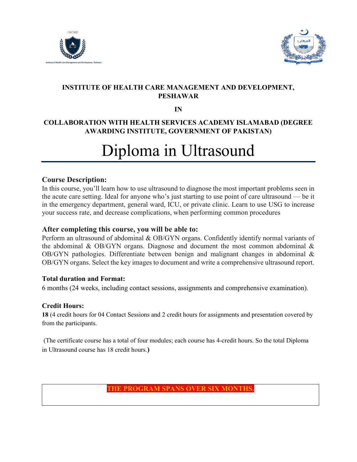



# INSTITUTE OF HEALTH CARE MANAGEMENT AND DEVELOPMENT, PESHAWAR

IN

# COLLABORATION WITH HEALTH SERVICES ACADEMY ISLAMABAD (DEGREE AWARDING INSTITUTE, GOVERNMENT OF PAKISTAN)

# Diploma in Ultrasound

## Course Description:

In this course, you'll learn how to use ultrasound to diagnose the most important problems seen in the acute care setting. Ideal for anyone who's just starting to use point of care ultrasound — be it in the emergency department, general ward, ICU, or private clinic. Learn to use USG to increase your success rate, and decrease complications, when performing common procedures

#### After completing this course, you will be able to:

Perform an ultrasound of abdominal & OB/GYN organs. Confidently identify normal variants of the abdominal & OB/GYN organs. Diagnose and document the most common abdominal  $\&$ OB/GYN pathologies. Differentiate between benign and malignant changes in abdominal & OB/GYN organs. Select the key images to document and write a comprehensive ultrasound report.

#### Total duration and Format:

6 months (24 weeks, including contact sessions, assignments and comprehensive examination).

## Credit Hours:

18 (4 credit hours for 04 Contact Sessions and 2 credit hours for assignments and presentation covered by from the participants.

 (The certificate course has a total of four modules; each course has 4-credit hours. So the total Diploma in Ultrasound course has 18 credit hours.)

# THE PROGRAM SPANS OVER SIX MONTHS.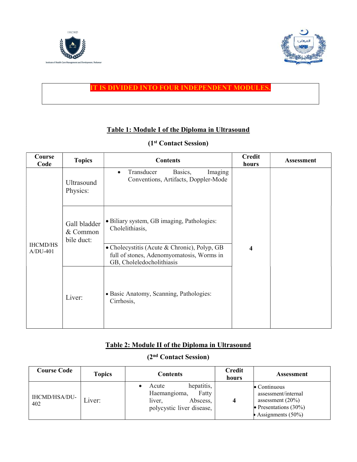



#### IT IS DIVIDED INTO FOUR INDEPENDENT MODULES.

## Table 1: Module I of the Diploma in Ultrasound

|  |  | (1 <sup>st</sup> Contact Session) |
|--|--|-----------------------------------|
|--|--|-----------------------------------|

| Course<br>Code                | <b>Topics</b>                          | <b>Contents</b>                                                                                                        | <b>Credit</b><br>hours | <b>Assessment</b> |
|-------------------------------|----------------------------------------|------------------------------------------------------------------------------------------------------------------------|------------------------|-------------------|
|                               | Ultrasound<br>Physics:                 | Transducer<br>Basics,<br>Imaging<br>$\bullet$<br>Conventions, Artifacts, Doppler-Mode                                  |                        |                   |
| <b>IHCMD/HS</b><br>$A/DU-401$ | Gall bladder<br>& Common<br>bile duct: | • Biliary system, GB imaging, Pathologies:<br>Cholelithiasis,                                                          |                        |                   |
|                               |                                        | • Cholecystitis (Acute & Chronic), Polyp, GB<br>full of stones, Adenomyomatosis, Worms in<br>GB, Choleledocholithiasis | 4                      |                   |
|                               | Liver:                                 | • Basic Anatomy, Scanning, Pathologies:<br>Cirrhosis,                                                                  |                        |                   |

# Table 2: Module II of the Diploma in Ultrasound

# (2nd Contact Session)

| Course Code          | <b>Topics</b> | Contents                                                                                        | <b>Credit</b><br>hours | <b>Assessment</b>                                                                                                      |
|----------------------|---------------|-------------------------------------------------------------------------------------------------|------------------------|------------------------------------------------------------------------------------------------------------------------|
| IHCMD/HSA/DU-<br>402 | Liver:        | hepatitis,<br>Acute<br>Haemangioma,<br>Fatty<br>liver,<br>Abscess,<br>polycystic liver disease, |                        | $\bullet$ Continuous<br>assessment/internal<br>assessment $(20\%)$<br>• Presentations $(30\%)$<br>Assignments $(50\%)$ |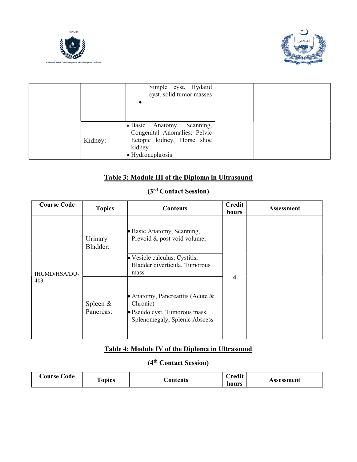



|         | Simple cyst, Hydatid<br>cyst, solid tumor masses                                                                       |  |  |
|---------|------------------------------------------------------------------------------------------------------------------------|--|--|
| Kidney: | • Basic Anatomy, Scanning,<br>Congenital Anomalies: Pelvic<br>Ectopic kidney, Horse shoe<br>kidney<br>• Hydronephrosis |  |  |

# Table 3: Module III of the Diploma in Ultrasound

# (3rd Contact Session)

| <b>Course Code</b>          | <b>Topics</b>           | <b>Contents</b>                                                                                                   | <b>Credit</b><br>hours | <b>Assessment</b> |
|-----------------------------|-------------------------|-------------------------------------------------------------------------------------------------------------------|------------------------|-------------------|
| <b>IHCMD/HSA/DU-</b><br>403 | Urinary<br>Bladder:     | • Basic Anatomy, Scanning,<br>Prevoid & post void volume,                                                         |                        |                   |
|                             |                         | • Vesicle calculus, Cystitis,<br>Bladder diverticula, Tumorous<br>mass                                            | 4                      |                   |
|                             | Spleen $&$<br>Pancreas: | • Anatomy, Pancreatitis (Acute $\&$<br>Chronic)<br>· Pseudo cyst, Tumorous mass,<br>Splenomegaly, Splenic Abscess |                        |                   |

# Table 4: Module IV of the Diploma in Ultrasound

# (4th Contact Session)

| Code<br>∪ourse • | opics | <b>Contents</b> | $\lvert$ redit<br>hours | Assessment |
|------------------|-------|-----------------|-------------------------|------------|
|------------------|-------|-----------------|-------------------------|------------|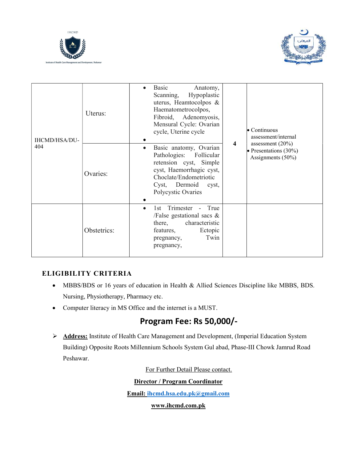



| IHCMD/HSA/DU-<br>404 | Uterus:     | Basic<br>Anatomy,<br>$\bullet$<br>Hypoplastic<br>Scanning,<br>uterus, Heamtocolpos &<br>Haematometrocolpos,<br>Fibroid, Adenomyosis,<br>Mensural Cycle: Ovarian<br>$\bullet$ Continuous<br>cycle, Uterine cycle<br>assessment/internal<br>assessment $(20\%)$<br>4 |
|----------------------|-------------|--------------------------------------------------------------------------------------------------------------------------------------------------------------------------------------------------------------------------------------------------------------------|
|                      | Ovaries:    | Basic anatomy, Ovarian<br>• Presentations $(30\%)$<br>Pathologies:<br>Follicular<br>Assignments (50%)<br>retension cyst, Simple<br>cyst, Haemorrhagic cyst,<br>Choclate/Endometriotic<br>Cyst, Dermoid cyst,<br>Polycystic Ovaries                                 |
|                      | Obstetrics: | Trimester<br>True<br>1st<br>$\sim$<br>$\bullet$<br>/False gestational sacs $\&$<br>characteristic<br>there,<br>features,<br>Ectopic<br>Twin<br>pregnancy,<br>pregnancy,                                                                                            |

## ELIGIBILITY CRITERIA

- MBBS/BDS or 16 years of education in Health & Allied Sciences Discipline like MBBS, BDS. Nursing, Physiotherapy, Pharmacy etc.
- Computer literacy in MS Office and the internet is a MUST.

# Program Fee: Rs 50,000/-

> Address: Institute of Health Care Management and Development, (Imperial Education System Building) Opposite Roots Millennium Schools System Gul abad, Phase-III Chowk Jamrud Road Peshawar.

For Further Detail Please contact.

#### Director / Program Coordinator

Email: ihcmd.hsa.edu.pk@gmail.com

www.ihcmd.com.pk